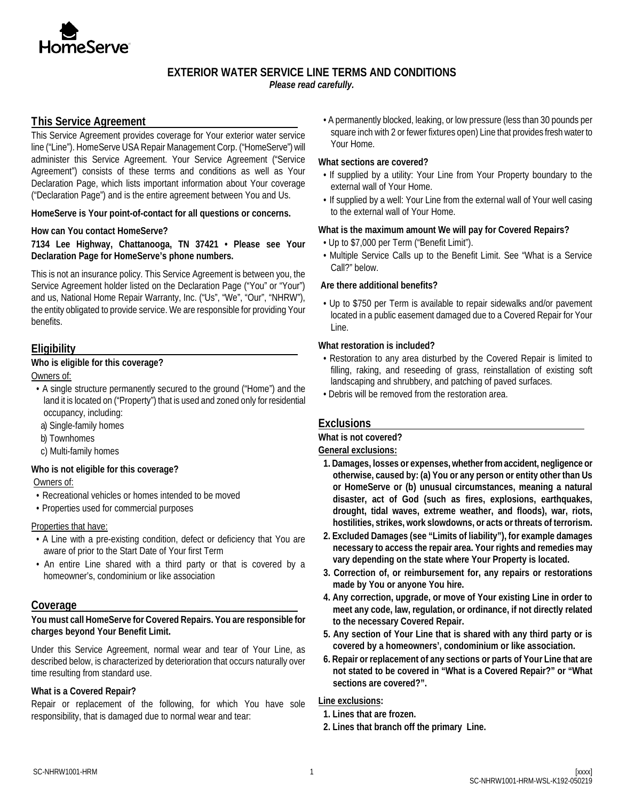

# **EXTERIOR WATER SERVICE LINE TERMS AND CONDITIONS**

*Please read carefully.*

### **This Service Agreement**

This Service Agreement provides coverage for Your exterior water service line ("Line"). HomeServe USA Repair Management Corp. ("HomeServe") will administer this Service Agreement. Your Service Agreement ("Service Agreement") consists of these terms and conditions as well as Your Declaration Page, which lists important information about Your coverage ("Declaration Page") and is the entire agreement between You and Us.

**HomeServe is Your point-of-contact for all questions or concerns.**

#### **How can You contact HomeServe?**

**7134 Lee Highway, Chattanooga, TN 37421 • Please see Your Declaration Page for HomeServe's phone numbers.** 

This is not an insurance policy. This Service Agreement is between you, the Service Agreement holder listed on the Declaration Page ("You" or "Your") and us, National Home Repair Warranty, Inc. ("Us", "We", "Our", "NHRW"), the entity obligated to provide service. We are responsible for providing Your benefits.

# **Eligibility**

### **Who is eligible for this coverage?**

Owners of:

- A single structure permanently secured to the ground ("Home") and the land it is located on ("Property") that is used and zoned only for residential occupancy, including:
- a) Single-family homes
- b) Townhomes
- c) Multi-family homes

### **Who is not eligible for this coverage?**

Owners of:

- Recreational vehicles or homes intended to be moved
- Properties used for commercial purposes

#### Properties that have:

- A Line with a pre-existing condition, defect or deficiency that You are aware of prior to the Start Date of Your first Term
- An entire Line shared with a third party or that is covered by a homeowner's, condominium or like association

### **Coverage**

#### **You must call HomeServe for Covered Repairs. You are responsible for charges beyond Your Benefit Limit.**

Under this Service Agreement, normal wear and tear of Your Line, as described below, is characterized by deterioration that occurs naturally over time resulting from standard use.

### **What is a Covered Repair?**

Repair or replacement of the following, for which You have sole responsibility, that is damaged due to normal wear and tear:

• A permanently blocked, leaking, or low pressure (less than 30 pounds per square inch with 2 or fewer fixtures open) Line that provides fresh water to Your Home.

#### **What sections are covered?**

- If supplied by a utility: Your Line from Your Property boundary to the external wall of Your Home.
- If supplied by a well: Your Line from the external wall of Your well casing to the external wall of Your Home.

#### **What is the maximum amount We will pay for Covered Repairs?**

- Up to \$7,000 per Term ("Benefit Limit").
- Multiple Service Calls up to the Benefit Limit. See "What is a Service Call?" below.

#### **Are there additional benefits?**

• Up to \$750 per Term is available to repair sidewalks and/or pavement located in a public easement damaged due to a Covered Repair for Your Line.

### **What restoration is included?**

- Restoration to any area disturbed by the Covered Repair is limited to filling, raking, and reseeding of grass, reinstallation of existing soft landscaping and shrubbery, and patching of paved surfaces.
- Debris will be removed from the restoration area.

# **Exclusions**

#### **What is not covered?**

#### **General exclusions:**

- **1. Damages, losses or expenses, whether from accident, negligence or otherwise, caused by: (a) You or any person or entity other than Us or HomeServe or (b) unusual circumstances, meaning a natural disaster, act of God (such as fires, explosions, earthquakes, drought, tidal waves, extreme weather, and floods), war, riots, hostilities, strikes, work slowdowns, or acts or threats of terrorism.**
- **2. Excluded Damages (see "Limits of liability"), for example damages necessary to access the repair area. Your rights and remedies may vary depending on the state where Your Property is located.**
- **3. Correction of, or reimbursement for, any repairs or restorations made by You or anyone You hire.**
- **4. Any correction, upgrade, or move of Your existing Line in order to meet any code, law, regulation, or ordinance, if not directly related to the necessary Covered Repair.**
- **5. Any section of Your Line that is shared with any third party or is covered by a homeowners', condominium or like association.**
- **6. Repair or replacement of any sections or parts of Your Line that are not stated to be covered in "What is a Covered Repair?" or "What sections are covered?".**

### **Line exclusions:**

- **1. Lines that are frozen.**
- **2. Lines that branch off the primary Line.**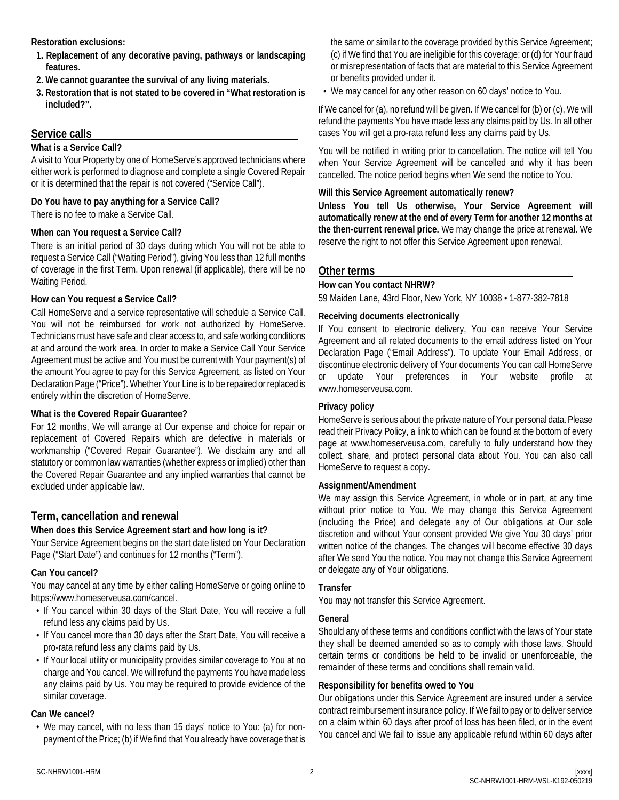### **Restoration exclusions:**

- **1. Replacement of any decorative paving, pathways or landscaping features.**
- **2. We cannot guarantee the survival of any living materials.**
- **3. Restoration that is not stated to be covered in "What restoration is included?".**

# **Service calls**

### **What is a Service Call?**

A visit to Your Property by one of HomeServe's approved technicians where either work is performed to diagnose and complete a single Covered Repair or it is determined that the repair is not covered ("Service Call").

### **Do You have to pay anything for a Service Call?**

There is no fee to make a Service Call.

### **When can You request a Service Call?**

There is an initial period of 30 days during which You will not be able to request a Service Call ("Waiting Period"), giving You less than 12 full months of coverage in the first Term. Upon renewal (if applicable), there will be no Waiting Period.

### **How can You request a Service Call?**

Call HomeServe and a service representative will schedule a Service Call. You will not be reimbursed for work not authorized by HomeServe. Technicians must have safe and clear access to, and safe working conditions at and around the work area. In order to make a Service Call Your Service Agreement must be active and You must be current with Your payment(s) of the amount You agree to pay for this Service Agreement, as listed on Your Declaration Page ("Price"). Whether Your Line is to be repaired or replaced is entirely within the discretion of HomeServe.

# **What is the Covered Repair Guarantee?**

For 12 months, We will arrange at Our expense and choice for repair or replacement of Covered Repairs which are defective in materials or workmanship ("Covered Repair Guarantee"). We disclaim any and all statutory or common law warranties (whether express or implied) other than the Covered Repair Guarantee and any implied warranties that cannot be excluded under applicable law.

# **Term, cancellation and renewal**

# **When does this Service Agreement start and how long is it?**

Your Service Agreement begins on the start date listed on Your Declaration Page ("Start Date") and continues for 12 months ("Term").

### **Can You cancel?**

You may cancel at any time by either calling HomeServe or going online to https://www.homeserveusa.com/cancel.

- If You cancel within 30 days of the Start Date, You will receive a full refund less any claims paid by Us.
- If You cancel more than 30 days after the Start Date, You will receive a pro-rata refund less any claims paid by Us.
- If Your local utility or municipality provides similar coverage to You at no charge and You cancel, We will refund the payments You have made less any claims paid by Us. You may be required to provide evidence of the similar coverage.

### **Can We cancel?**

• We may cancel, with no less than 15 days' notice to You: (a) for nonpayment of the Price; (b) if We find that You already have coverage that is

the same or similar to the coverage provided by this Service Agreement; (c) if We find that You are ineligible for this coverage; or (d) for Your fraud or misrepresentation of facts that are material to this Service Agreement or benefits provided under it.

• We may cancel for any other reason on 60 days' notice to You.

If We cancel for (a), no refund will be given. If We cancel for (b) or (c), We will refund the payments You have made less any claims paid by Us. In all other cases You will get a pro-rata refund less any claims paid by Us.

You will be notified in writing prior to cancellation. The notice will tell You when Your Service Agreement will be cancelled and why it has been cancelled. The notice period begins when We send the notice to You.

### **Will this Service Agreement automatically renew?**

**Unless You tell Us otherwise, Your Service Agreement will automatically renew at the end of every Term for another 12 months at the then-current renewal price.** We may change the price at renewal. We reserve the right to not offer this Service Agreement upon renewal.

# **Other terms**

### **How can You contact NHRW?**

59 Maiden Lane, 43rd Floor, New York, NY 10038 • 1-877-382-7818

### **Receiving documents electronically**

If You consent to electronic delivery, You can receive Your Service Agreement and all related documents to the email address listed on Your Declaration Page ("Email Address"). To update Your Email Address, or discontinue electronic delivery of Your documents You can call HomeServe or update Your preferences in Your website profile at www.homeserveusa.com.

### **Privacy policy**

HomeServe is serious about the private nature of Your personal data. Please read their Privacy Policy, a link to which can be found at the bottom of every page at www.homeserveusa.com, carefully to fully understand how they collect, share, and protect personal data about You. You can also call HomeServe to request a copy.

### **Assignment/Amendment**

We may assign this Service Agreement, in whole or in part, at any time without prior notice to You. We may change this Service Agreement (including the Price) and delegate any of Our obligations at Our sole discretion and without Your consent provided We give You 30 days' prior written notice of the changes. The changes will become effective 30 days after We send You the notice. You may not change this Service Agreement or delegate any of Your obligations.

### **Transfer**

You may not transfer this Service Agreement.

### **General**

Should any of these terms and conditions conflict with the laws of Your state they shall be deemed amended so as to comply with those laws. Should certain terms or conditions be held to be invalid or unenforceable, the remainder of these terms and conditions shall remain valid.

### **Responsibility for benefits owed to You**

Our obligations under this Service Agreement are insured under a service contract reimbursement insurance policy. If We fail to pay or to deliver service on a claim within 60 days after proof of loss has been filed, or in the event You cancel and We fail to issue any applicable refund within 60 days after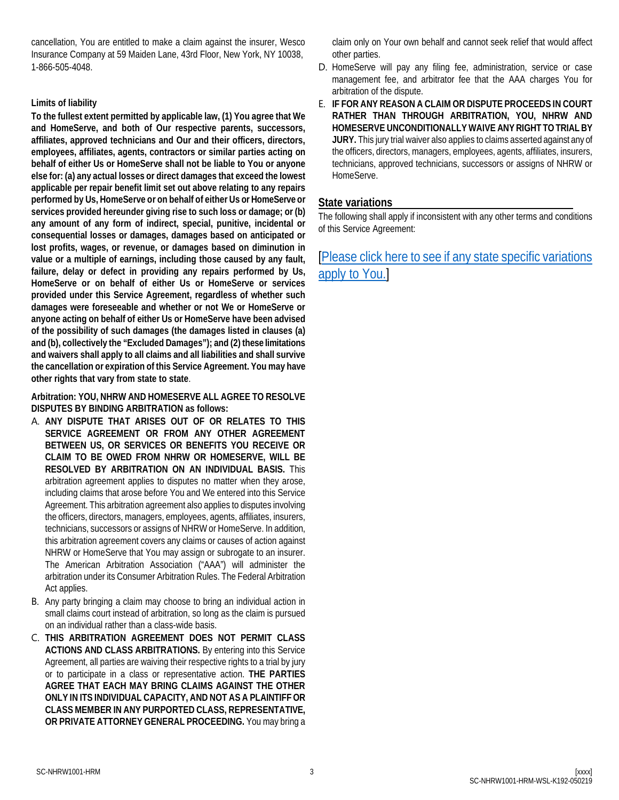cancellation, You are entitled to make a claim against the insurer, Wesco Insurance Company at 59 Maiden Lane, 43rd Floor, New York, NY 10038, 1-866-505-4048.

### **Limits of liability**

**To the fullest extent permitted by applicable law, (1) You agree that We and HomeServe, and both of Our respective parents, successors, affiliates, approved technicians and Our and their officers, directors, employees, affiliates, agents, contractors or similar parties acting on behalf of either Us or HomeServe shall not be liable to You or anyone else for: (a) any actual losses or direct damages that exceed the lowest applicable per repair benefit limit set out above relating to any repairs performed by Us, HomeServe or on behalf of either Us or HomeServe or services provided hereunder giving rise to such loss or damage; or (b) any amount of any form of indirect, special, punitive, incidental or consequential losses or damages, damages based on anticipated or lost profits, wages, or revenue, or damages based on diminution in value or a multiple of earnings, including those caused by any fault, failure, delay or defect in providing any repairs performed by Us, HomeServe or on behalf of either Us or HomeServe or services provided under this Service Agreement, regardless of whether such damages were foreseeable and whether or not We or HomeServe or anyone acting on behalf of either Us or HomeServe have been advised of the possibility of such damages (the damages listed in clauses (a) and (b), collectively the "Excluded Damages"); and (2) these limitations and waivers shall apply to all claims and all liabilities and shall survive the cancellation or expiration of this Service Agreement. You may have other rights that vary from state to state**.

**Arbitration: YOU, NHRW AND HOMESERVE ALL AGREE TO RESOLVE DISPUTES BY BINDING ARBITRATION as follows:** 

- A. **ANY DISPUTE THAT ARISES OUT OF OR RELATES TO THIS SERVICE AGREEMENT OR FROM ANY OTHER AGREEMENT BETWEEN US, OR SERVICES OR BENEFITS YOU RECEIVE OR CLAIM TO BE OWED FROM NHRW OR HOMESERVE, WILL BE RESOLVED BY ARBITRATION ON AN INDIVIDUAL BASIS.** This arbitration agreement applies to disputes no matter when they arose, including claims that arose before You and We entered into this Service Agreement. This arbitration agreement also applies to disputes involving the officers, directors, managers, employees, agents, affiliates, insurers, technicians, successors or assigns of NHRW or HomeServe. In addition, this arbitration agreement covers any claims or causes of action against NHRW or HomeServe that You may assign or subrogate to an insurer. The American Arbitration Association ("AAA") will administer the arbitration under its Consumer Arbitration Rules. The Federal Arbitration Act applies.
- B. Any party bringing a claim may choose to bring an individual action in small claims court instead of arbitration, so long as the claim is pursued on an individual rather than a class-wide basis.
- C. **THIS ARBITRATION AGREEMENT DOES NOT PERMIT CLASS ACTIONS AND CLASS ARBITRATIONS.** By entering into this Service Agreement, all parties are waiving their respective rights to a trial by jury or to participate in a class or representative action. **THE PARTIES AGREE THAT EACH MAY BRING CLAIMS AGAINST THE OTHER ONLY IN ITS INDIVIDUAL CAPACITY, AND NOT AS A PLAINTIFF OR CLASS MEMBER IN ANY PURPORTED CLASS, REPRESENTATIVE, OR PRIVATE ATTORNEY GENERAL PROCEEDING.** You may bring a

claim only on Your own behalf and cannot seek relief that would affect other parties.

- D. HomeServe will pay any filing fee, administration, service or case management fee, and arbitrator fee that the AAA charges You for arbitration of the dispute.
- E. **IF FOR ANY REASON A CLAIM OR DISPUTE PROCEEDS IN COURT RATHER THAN THROUGH ARBITRATION, YOU, NHRW AND HOMESERVE UNCONDITIONALLY WAIVE ANY RIGHT TO TRIAL BY JURY.** This jury trial waiver also applies to claims asserted against any of the officers, directors, managers, employees, agents, affiliates, insurers, technicians, approved technicians, successors or assigns of NHRW or HomeServe.

# **State variations**

The following shall apply if inconsistent with any other terms and conditions of this Service Agreement:

[\[Please click here to see if any state specific variations](https://www.homeserveusa.com/sc/-/media/mdb/pdf/SVNHRW.pdf)  [apply to You.\]](https://www.homeserveusa.com/sc/-/media/mdb/pdf/SVNHRW.pdf)